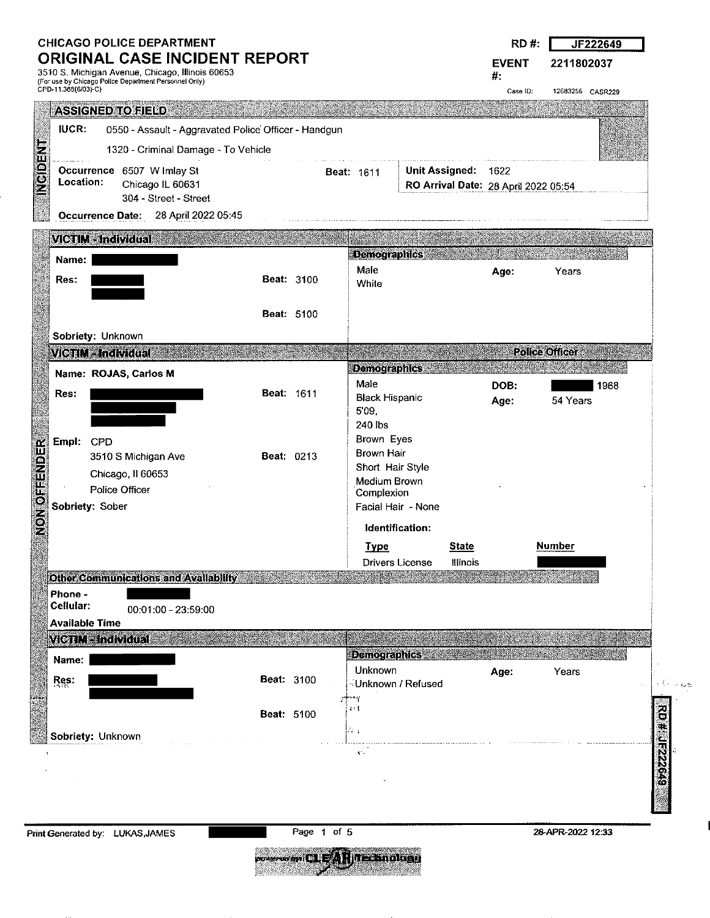| <b>CHICAGO POLICE DEPARTMENT</b>     |  |  |
|--------------------------------------|--|--|
| <b>ORIGINAL CASE INCIDENT REPORT</b> |  |  |

3510 S. Michigan Avenue, Chicago, Illinois 60653 (Far use by Chicago Police Department Personnel Only) CPD-11.388(6(03)-C)

| £7<br>в.<br>ν |    |                     |
|---------------|----|---------------------|
|               | 4. | 49<br>×.<br>z.<br>u |

EVENT 2211802037

Case ID: 12683256 CASR229

 $\sim 6.4\%$ 

k,

#:

| <b>ASSIGNED TO FIELD</b>                         |                                                      |                   |                           |                                  |                        |              |              |                                      |      |
|--------------------------------------------------|------------------------------------------------------|-------------------|---------------------------|----------------------------------|------------------------|--------------|--------------|--------------------------------------|------|
| IUCR.                                            | 0550 - Assault - Aggravated Police Officer - Handgun |                   |                           |                                  |                        |              |              |                                      |      |
| <b>ARICOM</b>                                    | 1320 - Criminal Damage - To Vehicle                  |                   |                           |                                  |                        |              |              |                                      |      |
| Location:                                        | Occurrence 6507 W Imlay St                           |                   |                           | <b>Beat: 1611</b>                | Unit Assigned:         |              | 1622         |                                      |      |
|                                                  | Chicago IL 60631<br>304 - Street - Street            |                   |                           |                                  |                        |              |              | RO Arrival Date: 28 April 2022 05:54 |      |
|                                                  | Occurrence Date: 28 April 2022 05:45                 |                   |                           |                                  |                        |              |              |                                      |      |
| VICTIM - Individual                              |                                                      |                   |                           |                                  |                        |              |              |                                      |      |
| Name:                                            |                                                      |                   |                           | <b>Demographics</b>              |                        |              |              |                                      |      |
| Res:                                             |                                                      |                   | <b>Beat: 3100</b>         | Male<br>White                    |                        |              | Age:         | Years                                |      |
|                                                  |                                                      |                   |                           |                                  |                        |              |              |                                      |      |
|                                                  |                                                      |                   | <b>Beat: 5100</b>         |                                  |                        |              |              |                                      |      |
| Sobriety: Unknown                                |                                                      |                   |                           |                                  |                        |              |              |                                      |      |
| <b>VICTIM-Individual</b>                         |                                                      |                   |                           |                                  |                        |              |              | <b>Police Officer</b>                |      |
| Name: ROJAS, Carlos M                            |                                                      |                   |                           | <b>Demographics</b><br>Male      |                        |              |              |                                      |      |
| Res:                                             |                                                      | <b>Beat: 1611</b> |                           | <b>Black Hispanic</b>            |                        |              | DOB:<br>Age: | 54 Years                             | 1968 |
|                                                  |                                                      |                   |                           | 5'09,<br>240 lbs                 |                        |              |              |                                      |      |
| Empl: CPD                                        |                                                      |                   |                           | Brown Eyes                       |                        |              |              |                                      |      |
|                                                  | 3510 S Michigan Ave                                  | Beat: 0213        |                           | Brown Hair                       |                        |              |              |                                      |      |
|                                                  | Chicago, II 60653                                    |                   |                           | Short Hair Style<br>Medium Brown |                        |              |              |                                      |      |
| Police Officer                                   |                                                      |                   |                           | Complexion                       |                        |              |              |                                      |      |
| NON OFFENDER<br>Sobriety: Sober                  |                                                      |                   |                           |                                  | Facial Hair - None     |              |              |                                      |      |
|                                                  |                                                      |                   |                           |                                  | Identification:        |              |              |                                      |      |
|                                                  |                                                      |                   |                           | <b>Type</b>                      |                        | <b>State</b> |              | <b>Number</b>                        |      |
|                                                  | <b>Other Communications and Availability</b>         |                   |                           |                                  | <b>Drivers License</b> | Illinois     |              |                                      |      |
| Phone -                                          |                                                      |                   |                           |                                  |                        |              |              |                                      |      |
| Cellular:                                        | $00:01:00 - 23:59:00$                                |                   |                           |                                  |                        |              |              |                                      |      |
| <b>Available Time</b><br><b>MCTIM-Individual</b> |                                                      |                   |                           |                                  |                        |              |              |                                      |      |
| Name:                                            |                                                      |                   |                           | <b>Demographics</b>              |                        |              |              |                                      |      |
| Res:                                             |                                                      | <b>Beat: 3100</b> |                           | Unknown                          |                        |              | Age:         | Years                                |      |
|                                                  |                                                      |                   |                           | .••;                             | ∛Unknown / Refused     |              |              |                                      |      |
|                                                  |                                                      | Beat: 5100        |                           | $\mathbf{I}$ : $\mathbf{I}$      |                        |              |              |                                      |      |
| Sobriety: Unknown                                |                                                      |                   |                           | da g                             |                        |              |              |                                      |      |
|                                                  |                                                      |                   |                           | v.                               |                        |              |              |                                      |      |
|                                                  |                                                      |                   |                           |                                  |                        |              |              |                                      |      |
|                                                  |                                                      |                   |                           |                                  |                        |              |              |                                      |      |
|                                                  |                                                      |                   |                           |                                  |                        |              |              |                                      |      |
| Print Generated by: LUKAS, JAMES                 |                                                      |                   | Page 1 of 5               |                                  |                        |              |              | 28-APR-2022 12:33                    |      |
|                                                  |                                                      |                   | <b>The CLEAR THEMICLE</b> |                                  |                        |              |              |                                      |      |
|                                                  |                                                      |                   |                           |                                  |                        |              |              |                                      |      |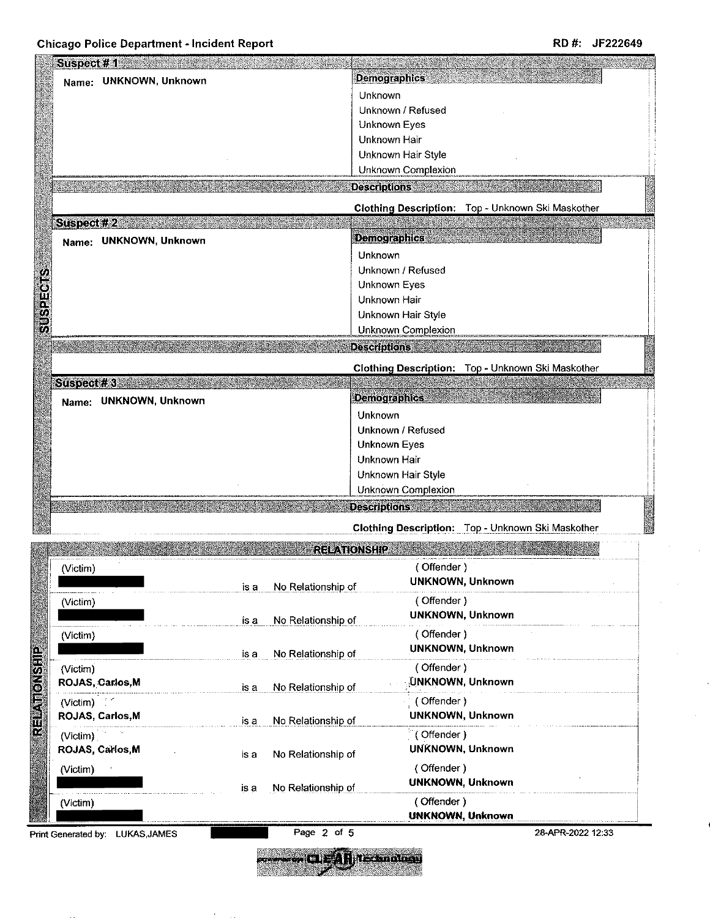| Name: UNKNOWN, Unknown |                            | <b>Demographics</b>                   |                                                   |
|------------------------|----------------------------|---------------------------------------|---------------------------------------------------|
|                        |                            | Unknown                               |                                                   |
|                        |                            | Unknown / Refused                     |                                                   |
|                        |                            | Unknown Eyes                          |                                                   |
|                        |                            | Unknown Hair                          |                                                   |
|                        |                            | Unknown Hair Style                    |                                                   |
|                        |                            | Unknown Complexion                    |                                                   |
|                        |                            | <b>Descriptions</b>                   |                                                   |
|                        |                            |                                       | Clothing Description: Top - Unknown Ski Maskother |
| Suspect #2             |                            |                                       |                                                   |
| Name: UNKNOWN, Unknown |                            | <b>Demographics</b>                   |                                                   |
|                        |                            | Unknown                               |                                                   |
|                        |                            | Unknown / Refused                     |                                                   |
|                        |                            | Unknown Eyes                          |                                                   |
|                        |                            | Unknown Hair                          |                                                   |
|                        |                            | Unknown Hair Style                    |                                                   |
|                        |                            | <b>Unknown Complexion</b>             |                                                   |
|                        |                            | <b>Descriptions</b>                   |                                                   |
|                        |                            |                                       | Clothing Description: Top - Unknown Ski Maskother |
| Suspect #3             |                            |                                       |                                                   |
| Name: UNKNOWN, Unknown |                            | <b>Demographics</b>                   |                                                   |
|                        |                            | Unknown                               |                                                   |
|                        |                            | Unknown / Refused                     |                                                   |
|                        |                            | <b>Unknown Eyes</b>                   |                                                   |
|                        |                            | Unknown Hair                          |                                                   |
|                        |                            | Unknown Hair Style                    |                                                   |
|                        |                            | Unknown Complexion                    |                                                   |
|                        |                            | <b>Descriptions</b>                   |                                                   |
|                        |                            |                                       |                                                   |
|                        |                            |                                       |                                                   |
|                        |                            |                                       | Clothing Description: Top - Unknown Ski Maskother |
|                        | <b>RELATIONSHIP</b>        |                                       |                                                   |
| (Victim)               |                            | (Offender)                            |                                                   |
|                        | No Relationship of<br>is a | UNKNOWN, Unknown                      |                                                   |
| (Victim)               |                            | (Offender)                            |                                                   |
|                        | No Relationship of<br>is a | <b>UNKNOWN, Unknown</b>               |                                                   |
| (Victim)               |                            | (Offender)                            |                                                   |
|                        |                            | <b>UNKNOWN, Unknown</b>               |                                                   |
|                        | No Relationship of<br>is a |                                       |                                                   |
| (Victim)               |                            | (Offender)<br>UNKNOWN, Unknown        |                                                   |
| ROJAS, Carlos, M       | No Relationship of<br>is a |                                       |                                                   |
| (Victim)               |                            | (Offender)                            |                                                   |
| ROJAS, Carlos, M       | No Relationship of<br>is a | <b>UNKNOWN, Unknown</b>               |                                                   |
| (Victim)               |                            | <sup>1</sup> (Offender)               |                                                   |
| ROJAS, Carlos, M       | No Relationship of<br>is a | UNKNOWN, Unknown                      |                                                   |
| (Victim)               |                            | (Offender)                            |                                                   |
|                        | No Relationship of<br>is a | <b>UNKNOWN, Unknown</b>               |                                                   |
| (Victim)               |                            | (Offender)<br><b>UNKNOWN, Unknown</b> |                                                   |

easa. --- CLEAR Texandos

鯵

 $\hat{\mathcal{A}}$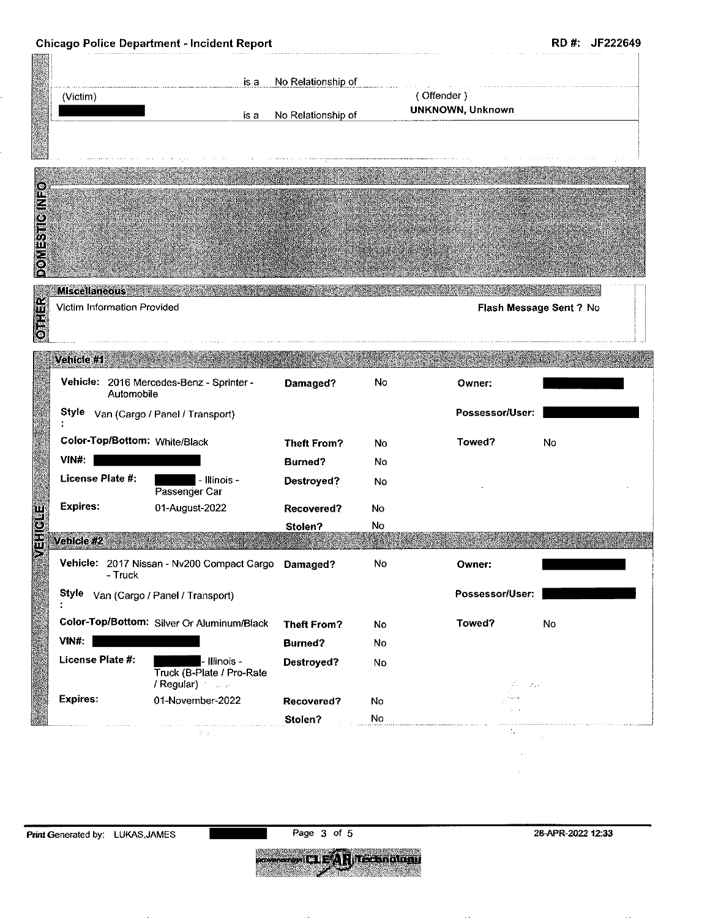|                                                                     |                                                          |                    |     |                  | RD #: JF222649          |
|---------------------------------------------------------------------|----------------------------------------------------------|--------------------|-----|------------------|-------------------------|
|                                                                     | is a                                                     | No Relationship of |     |                  |                         |
| (Victim)                                                            |                                                          |                    |     | (Offender)       |                         |
|                                                                     | is a                                                     | No Relationship of |     | UNKNOWN, Unknown |                         |
|                                                                     |                                                          |                    |     |                  |                         |
|                                                                     |                                                          |                    |     |                  |                         |
|                                                                     |                                                          |                    |     |                  |                         |
|                                                                     |                                                          |                    |     |                  |                         |
|                                                                     |                                                          |                    |     |                  |                         |
|                                                                     |                                                          |                    |     |                  |                         |
|                                                                     |                                                          |                    |     |                  |                         |
| <b>Miscellaneous</b>                                                |                                                          |                    |     |                  |                         |
| Victim Information Provided                                         |                                                          |                    |     |                  | Flash Message Sent ? No |
|                                                                     |                                                          |                    |     |                  |                         |
|                                                                     |                                                          |                    |     |                  |                         |
| Vehicle #1                                                          |                                                          |                    |     |                  |                         |
| Automobile                                                          | Vehicle: 2016 Mercedes-Benz - Sprinter -                 | Damaged?           | No  | Owner:           |                         |
|                                                                     | Style Van (Cargo / Panel / Transport)                    |                    |     | Possessor/User:  |                         |
| Color-Top/Bottom: White/Black                                       |                                                          |                    |     |                  |                         |
|                                                                     |                                                          | <b>Theft From?</b> | No. | Towed?           | No                      |
|                                                                     |                                                          | Burned?            | No  |                  |                         |
|                                                                     | - Illinois -                                             | Destroyed?         | No  |                  |                         |
|                                                                     | Passenger Car<br>01-August-2022                          | <b>Recovered?</b>  | No  |                  |                         |
|                                                                     |                                                          | Stolen?            | No  |                  |                         |
|                                                                     |                                                          |                    |     |                  |                         |
| - Truck                                                             | Vehicle: 2017 Nissan - Nv200 Compact Cargo Damaged?      |                    | No  | Owner:           |                         |
|                                                                     | Style Van (Cargo / Panel / Transport)                    |                    |     | Possessor/User:  |                         |
|                                                                     | Color-Top/Bottom: Silver Or Aluminum/Black               | <b>Theft From?</b> | No  | Towed?           | No                      |
| VIN#:<br>License Plate #:<br><b>Expires:</b><br>Vehicle:#2<br>VIN#: |                                                          | <b>Burned?</b>     | No  |                  |                         |
| License Plate #:                                                    | $\blacksquare$ - Illinois -<br>Truck (B-Plate / Pro-Rate | Destroyed?         | No  | ورود به المن     |                         |
|                                                                     | / Regular)<br>01-November-2022                           | Recovered?         | No  | ومقدر            |                         |
| <b>Expires:</b>                                                     |                                                          | Stolen?            | No  |                  |                         |

**Print Generated by:** LUKAS,JAMES Page 3 of 5 28-APR-2022 12:33

**Express CLEAR Technology**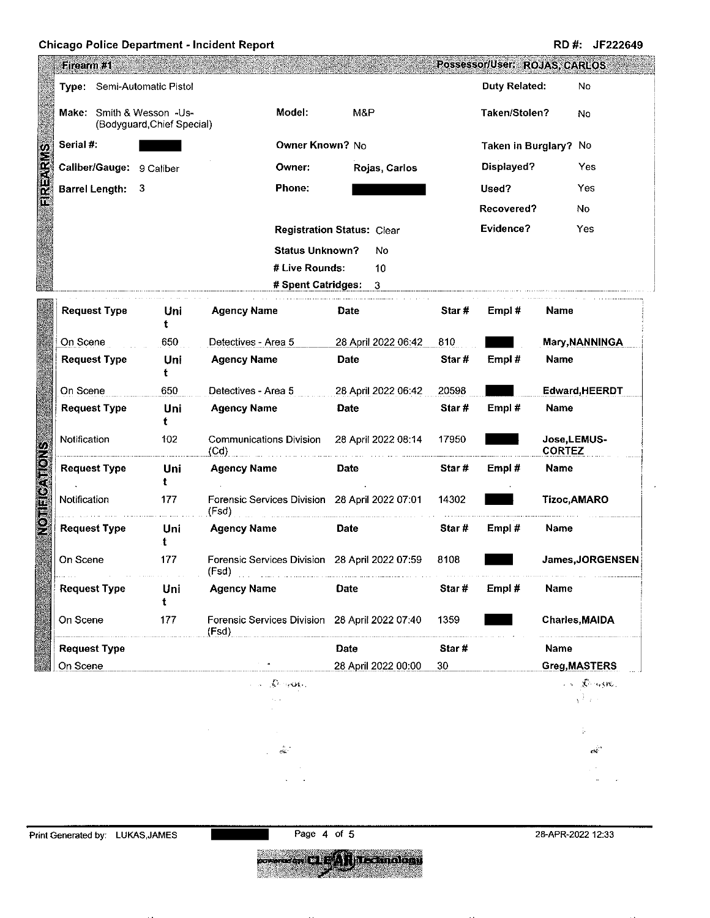## Chicago Police Department - Incident Report **RUM Example 2018** RD #: JF222649

|                 | Firearm #1                                             |                                 |                          |                                        |                                                        |                              |                                                        |                       | Possessor/User: ROJAS, CARLOS |                  |                                                                                                             |
|-----------------|--------------------------------------------------------|---------------------------------|--------------------------|----------------------------------------|--------------------------------------------------------|------------------------------|--------------------------------------------------------|-----------------------|-------------------------------|------------------|-------------------------------------------------------------------------------------------------------------|
|                 | Type: Semi-Automatic Pistol                            |                                 |                          |                                        |                                                        |                              |                                                        | Duty Related:         |                               | No               |                                                                                                             |
|                 | Make: Smith & Wesson -Us-<br>(Bodyguard Chief Special) |                                 |                          | Model:<br>M&P                          |                                                        | Taken/Stolen?                |                                                        | No                    |                               |                  |                                                                                                             |
|                 | Serial #:                                              |                                 |                          |                                        | Owner Known? No                                        |                              |                                                        | Taken in Burglary? No |                               |                  |                                                                                                             |
|                 |                                                        |                                 | Caliber/Gauge: 9 Caliber |                                        | <b>Owner:</b>                                          |                              | Rojas, Carlos                                          |                       | Displayed?                    |                  | Yes                                                                                                         |
| <b>FIREARIS</b> |                                                        | <b>Barrel Length:</b>           | $_{3}$                   |                                        | <b>Phone:</b>                                          |                              |                                                        |                       | Used?                         |                  | Yes                                                                                                         |
|                 |                                                        |                                 |                          |                                        |                                                        |                              | Recovered?                                             |                       | No                            |                  |                                                                                                             |
|                 |                                                        |                                 |                          |                                        | <b>Registration Status: Clear</b>                      |                              |                                                        | Evidence?             |                               | Yes              |                                                                                                             |
|                 |                                                        |                                 |                          |                                        | <b>Status Unknown?</b>                                 |                              | No                                                     |                       |                               |                  |                                                                                                             |
|                 |                                                        |                                 |                          |                                        | # Live Rounds:                                         |                              | 10                                                     |                       |                               |                  |                                                                                                             |
|                 |                                                        |                                 |                          |                                        | # Spent Catridges:                                     |                              | 3                                                      |                       |                               |                  |                                                                                                             |
|                 |                                                        | <b>Request Type</b>             | Uni<br>t                 | <b>Agency Name</b>                     |                                                        | <b>Date</b>                  |                                                        | Star#                 | Empl#                         | <b>Name</b>      |                                                                                                             |
|                 | On Scene                                               |                                 | 650                      | Detectives - Area 5                    |                                                        |                              | 28 April 2022 06:42                                    |                       | 810                           |                  | Mary, NANNINGA                                                                                              |
|                 |                                                        | <b>Request Type</b>             | Uni<br>t                 | <b>Agency Name</b>                     |                                                        |                              | Star#<br><b>Date</b>                                   |                       | Empl#<br>Name                 |                  |                                                                                                             |
|                 | 650<br>On Scene                                        |                                 | Detectives - Area 5      |                                        |                                                        | 28 April 2022 06:42<br>20598 |                                                        |                       | Edward, HEERDT                |                  |                                                                                                             |
|                 |                                                        | <b>Request Type</b><br>Uni<br>ŧ |                          | <b>Agency Name</b>                     | <b>Date</b>                                            |                              | Star#                                                  | Empl#                 | Name                          |                  |                                                                                                             |
|                 |                                                        | 102<br>Notification             |                          | <b>Communications Division</b><br>(Cd) |                                                        | 28 April 2022 08:14          |                                                        | 17950                 | <b>CORTEZ</b>                 |                  | Jose,LEMUS-                                                                                                 |
| COTIFICATIONS   |                                                        | <b>Request Type</b>             | Uni<br>t                 | <b>Agency Name</b>                     |                                                        |                              | Star#<br><b>Date</b>                                   |                       | Empl #                        | Name             |                                                                                                             |
|                 | Notification                                           |                                 | 177<br>(Fsd)             |                                        | Forensic Services Division 28 April 2022 07:01         |                              | 14302                                                  |                       |                               |                  | Tizoc, AMARO                                                                                                |
|                 |                                                        | <b>Request Type</b>             | Uni<br>t                 | <b>Agency Name</b>                     |                                                        | Date                         |                                                        | Star#                 | Empl $#$<br>Name              |                  |                                                                                                             |
|                 | 177<br>On Scene<br>(Fsd)                               |                                 |                          |                                        | Forensic Services Division 28 April 2022 07:59<br>8108 |                              |                                                        |                       |                               | James, JORGENSEN |                                                                                                             |
|                 | <b>Request Type</b>                                    |                                 | Uni<br>t                 | <b>Agency Name</b>                     |                                                        | Date                         |                                                        | Star#                 | Empl #                        | Name             |                                                                                                             |
|                 | On Scene                                               |                                 | 177<br>(Fsd)             |                                        |                                                        |                              | Forensic Services Division 28 April 2022 07:40<br>1359 |                       |                               |                  | <b>Charles, MAIDA</b>                                                                                       |
|                 | <b>Request Type</b>                                    |                                 |                          |                                        |                                                        | Date                         |                                                        | Star #                |                               | Name             |                                                                                                             |
|                 | On Scene                                               |                                 |                          |                                        |                                                        |                              | 28 April 2022 00:00                                    | 30                    |                               |                  | Greg, MASTERS                                                                                               |
|                 |                                                        |                                 |                          | <b>CAL POSSOE</b>                      |                                                        |                              |                                                        |                       |                               |                  | $\mathcal{L}(\mathbf{x}) = \sum_{i=1}^n \mathcal{L}_i(\mathbf{x}_i, \mathbf{y}_i   \mathbf{y}_i)$<br>Vite 1 |
|                 |                                                        |                                 |                          |                                        |                                                        |                              |                                                        |                       |                               |                  |                                                                                                             |
|                 |                                                        |                                 |                          |                                        |                                                        |                              |                                                        |                       |                               |                  | ţ.                                                                                                          |
|                 |                                                        |                                 |                          | أنبته                                  |                                                        |                              |                                                        |                       |                               |                  | ed.                                                                                                         |
|                 |                                                        |                                 |                          |                                        |                                                        |                              |                                                        |                       |                               |                  |                                                                                                             |
|                 |                                                        |                                 |                          |                                        |                                                        |                              |                                                        |                       |                               |                  |                                                                                                             |

**Express CLEAR Technology**